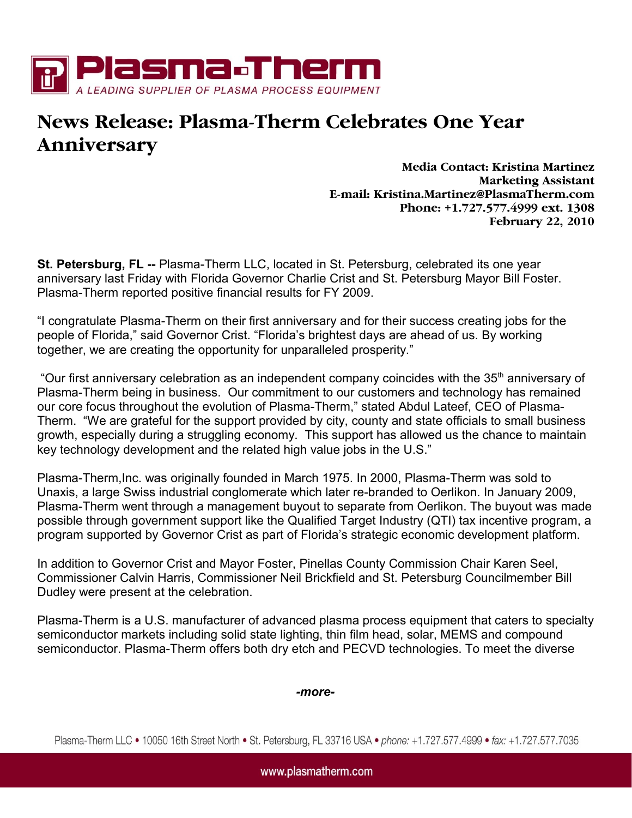

## News Release: Plasma-Therm Celebrates One Year Anniversary

Media Contact: Kristina Martinez Marketing Assistant E-mail: Kristina.Martinez@PlasmaTherm.com Phone: +1.727.577.4999 ext. 1308 February 22, 2010

**St. Petersburg, FL --** Plasma-Therm LLC, located in St. Petersburg, celebrated its one year anniversary last Friday with Florida Governor Charlie Crist and St. Petersburg Mayor Bill Foster. Plasma-Therm reported positive financial results for FY 2009.

"I congratulate Plasma-Therm on their first anniversary and for their success creating jobs for the people of Florida," said Governor Crist. "Florida's brightest days are ahead of us. By working together, we are creating the opportunity for unparalleled prosperity."

"Our first anniversary celebration as an independent company coincides with the 35<sup>th</sup> anniversary of Plasma-Therm being in business. Our commitment to our customers and technology has remained our core focus throughout the evolution of Plasma-Therm," stated Abdul Lateef, CEO of Plasma-Therm. "We are grateful for the support provided by city, county and state officials to small business growth, especially during a struggling economy. This support has allowed us the chance to maintain key technology development and the related high value jobs in the U.S."

Plasma-Therm,Inc. was originally founded in March 1975. In 2000, Plasma-Therm was sold to Unaxis, a large Swiss industrial conglomerate which later re-branded to Oerlikon. In January 2009, Plasma-Therm went through a management buyout to separate from Oerlikon. The buyout was made possible through government support like the Qualified Target Industry (QTI) tax incentive program, a program supported by Governor Crist as part of Florida's strategic economic development platform.

In addition to Governor Crist and Mayor Foster, Pinellas County Commission Chair Karen Seel, Commissioner Calvin Harris, Commissioner Neil Brickfield and St. Petersburg Councilmember Bill Dudley were present at the celebration.

Plasma-Therm is a U.S. manufacturer of advanced plasma process equipment that caters to specialty semiconductor markets including solid state lighting, thin film head, solar, MEMS and compound semiconductor. Plasma-Therm offers both dry etch and PECVD technologies. To meet the diverse

*-more-*

Plasma-Therm LLC • 10050 16th Street North • St. Petersburg, FL 33716 USA • phone: +1.727.577.4999 • fax: +1.727.577.7035